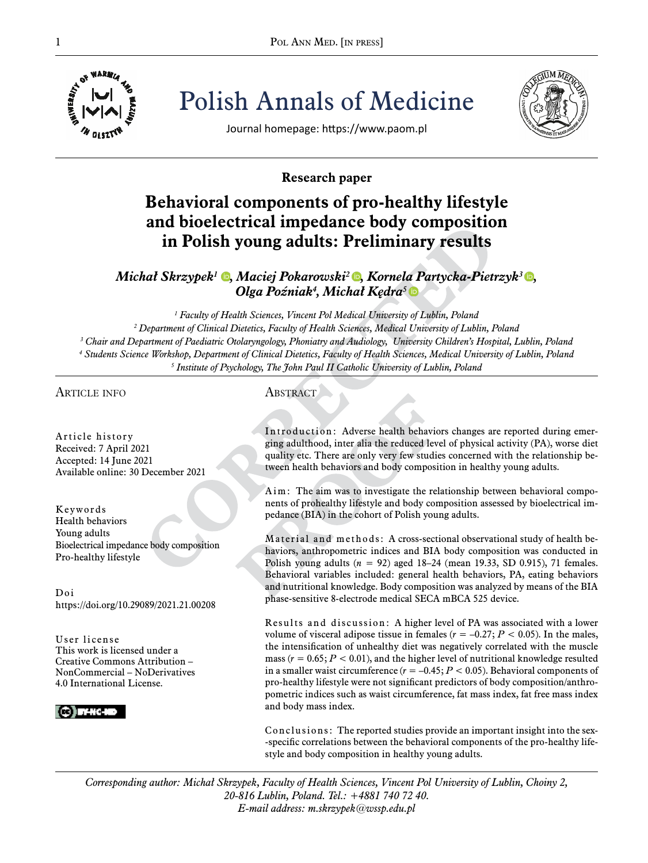

Polish Annals of Medicine





Journal homepage: https://www.paom.pl

## **Research paper**

# **Behavioral components of pro-healthy lifestyle and bioelectrical impedance body composition in Polish young adults: Preliminary results**

## *Michał Skrzypek<sup><i>1*</sup> **Q**[,](https://orcid.org/0000-0002-7498-8248) Maciej Pokarowski<sup>2</sup> **Q**, Kornela Partycka-Pietrzyk<sup>3</sup> Q, *Olga Poźniak<sup>4</sup> , Michał Kędra[5](https://orcid.org/0000-0002-7668-4280)*

  *Faculty of Health Sciences, Vincent Pol Medical University of Lublin, Poland Department of Clinical Dietetics, Faculty of Health Sciences, Medical University of Lublin, Poland Chair and Department of Paediatric Otolaryngology, Phoniatry and Audiology, University Children's Hospital, Lublin, Poland Students Science Workshop, Department of Clinical Dietetics, Faculty of Health Sciences, Medical University of Lublin, Poland Institute of Psychology, The John Paul II Catholic University of Lublin, Poland*

## article info

Article history Received: 7 April 2021 Accepted: 14 June 2021 Available online: 30 December 2021

Keywords Health behaviors Young adults Bioelectrical impedance body composition Pro-healthy lifestyle

Doi https://doi.org/10.29089/2021.21.00208

User license This work is licensed under a Creative Commons Attribution – NonCommercial – NoDerivatives 4.0 International License.



## **ABSTRACT**

Introduction: Adverse health behaviors changes are reported during emerging adulthood, inter alia the reduced level of physical activity (PA), worse diet quality etc. There are only very few studies concerned with the relationship between health behaviors and body composition in healthy young adults.

Aim: The aim was to investigate the relationship between behavioral components of prohealthy lifestyle and body composition assessed by bioelectrical impedance (BIA) in the cohort of Polish young adults.

Material and methods: A cross-sectional observational study of health behaviors, anthropometric indices and BIA body composition was conducted in Polish young adults (*n* = 92) aged 18–24 (mean 19.33, SD 0.915), 71 females. Behavioral variables included: general health behaviors, PA, eating behaviors and nutritional knowledge. Body composition was analyzed by means of the BIA phase-sensitive 8-electrode medical SECA mBCA 525 device.

Results and discussion: A higher level of PA was associated with a lower volume of visceral adipose tissue in females  $(r = -0.27; P < 0.05)$ . In the males, the intensification of unhealthy diet was negatively correlated with the muscle mass  $(r = 0.65; P < 0.01)$ , and the higher level of nutritional knowledge resulted in a smaller waist circumference  $(r = -0.45; P < 0.05)$ . Behavioral components of pro-healthy lifestyle were not significant predictors of body composition/anthropometric indices such as waist circumference, fat mass index, fat free mass index and body mass index.

Conclusions: The reported studies provide an important insight into the sex- -specific correlations between the behavioral components of the pro-healthy lifestyle and body composition in healthy young adults.

*Corresponding author: Michał Skrzypek, Faculty of Health Sciences, Vincent Pol University of Lublin, Choiny 2, 20-816 Lublin, Poland. Tel.: +4881 740 72 40. E-mail address: m.skrzypek@wssp.edu.pl*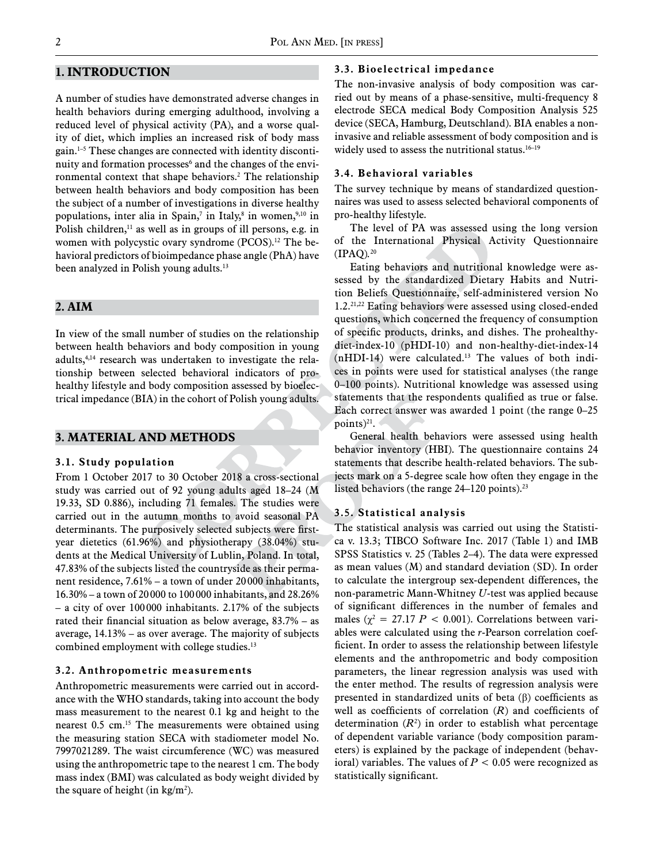## **1. Introduction**

A number of studies have demonstrated adverse changes in health behaviors during emerging adulthood, involving a reduced level of physical activity (PA), and a worse quality of diet, which implies an increased risk of body mass gain.1–5 These changes are connected with identity discontinuity and formation processes<sup>6</sup> and the changes of the environmental context that shape behaviors.2 The relationship between health behaviors and body composition has been the subject of a number of investigations in diverse healthy populations, inter alia in Spain,<sup>7</sup> in Italy,<sup>8</sup> in women,<sup>9,10</sup> in Polish children, $<sup>11</sup>$  as well as in groups of ill persons, e.g. in</sup> women with polycystic ovary syndrome (PCOS).<sup>12</sup> The behavioral predictors of bioimpedance phase angle (PhA) have been analyzed in Polish young adults.<sup>13</sup>

## **2. Aim**

In view of the small number of studies on the relationship between health behaviors and body composition in young adults,<sup>4,14</sup> research was undertaken to investigate the relationship between selected behavioral indicators of prohealthy lifestyle and body composition assessed by bioelectrical impedance (BIA) in the cohort of Polish young adults.

#### **3. Material and methods**

#### **3.1. Study population**

From 1 October 2017 to 30 October 2018 a cross-sectional study was carried out of 92 young adults aged 18–24 (M 19.33, SD 0.886), including 71 females. The studies were carried out in the autumn months to avoid seasonal PA determinants. The purposively selected subjects were firstyear dietetics (61.96%) and physiotherapy (38.04%) students at the Medical University of Lublin, Poland. In total, 47.83% of the subjects listed the countryside as their permanent residence, 7.61% – a town of under 20000 inhabitants, 16.30% – a town of 20 000 to 100 000 inhabitants, and 28.26% – a city of over 100 000 inhabitants. 2.17% of the subjects rated their financial situation as below average, 83.7% – as average, 14.13% – as over average. The majority of subjects combined employment with college studies.<sup>13</sup>

#### **3.2. Anthropometric measurements**

Anthropometric measurements were carried out in accordance with the WHO standards, taking into account the body mass measurement to the nearest 0.1 kg and height to the nearest 0.5 cm.15 The measurements were obtained using the measuring station SECA with stadiometer model No. 7997021289. The waist circumference (WC) was measured using the anthropometric tape to the nearest 1 cm. The body mass index (BMI) was calculated as body weight divided by the square of height (in  $\text{kg/m}^2$ ).

## **3.3. Bioelectrical impedance**

The non-invasive analysis of body composition was carried out by means of a phase-sensitive, multi-frequency 8 electrode SECA medical Body Composition Analysis 525 device (SECA, Hamburg, Deutschland). BIA enables a noninvasive and reliable assessment of body composition and is widely used to assess the nutritional status.<sup>16-19</sup>

#### **3.4. Behavioral variables**

The survey technique by means of standardized questionnaires was used to assess selected behavioral components of pro-healthy lifestyle.

The level of PA was assessed using the long version of the International Physical Activity Questionnaire (IPAQ)*.* 20

Eating behaviors and nutritional knowledge were assessed by the standardized Dietary Habits and Nutrition Beliefs Questionnaire, self-administered version No 1.2.21,22 Eating behaviors were assessed using closed-ended questions, which concerned the frequency of consumption of specific products, drinks, and dishes. The prohealthydiet-index-10 (pHDI-10) and non-healthy-diet-index-14 (nHDI-14) were calculated.13 The values of both indices in points were used for statistical analyses (the range 0–100 points). Nutritional knowledge was assessed using statements that the respondents qualified as true or false. Each correct answer was awarded 1 point (the range 0–25 points) $^{21}$ .

General health behaviors were assessed using health behavior inventory (HBI). The questionnaire contains 24 statements that describe health-related behaviors. The subjects mark on a 5-degree scale how often they engage in the listed behaviors (the range  $24-120$  points).<sup>23</sup>

#### **3.5. Statistical analysis**

The statistical analysis was carried out using the Statistica v. 13.3; TIBCO Software Inc. 2017 (Table 1) and IMB SPSS Statistics v. 25 (Tables 2–4). The data were expressed as mean values (M) and standard deviation (SD). In order to calculate the intergroup sex-dependent differences, the non-parametric Mann-Whitney *U*-test was applied because of significant differences in the number of females and males  $(\chi^2 = 27.17 \, P < 0.001)$ . Correlations between variables were calculated using the *r*-Pearson correlation coefficient. In order to assess the relationship between lifestyle elements and the anthropometric and body composition parameters, the linear regression analysis was used with the enter method. The results of regression analysis were presented in standardized units of beta (β) coefficients as well as coefficients of correlation (*R*) and coefficients of determination  $(R^2)$  in order to establish what percentage of dependent variable variance (body composition parameters) is explained by the package of independent (behavioral) variables. The values of  $P < 0.05$  were recognized as statistically significant.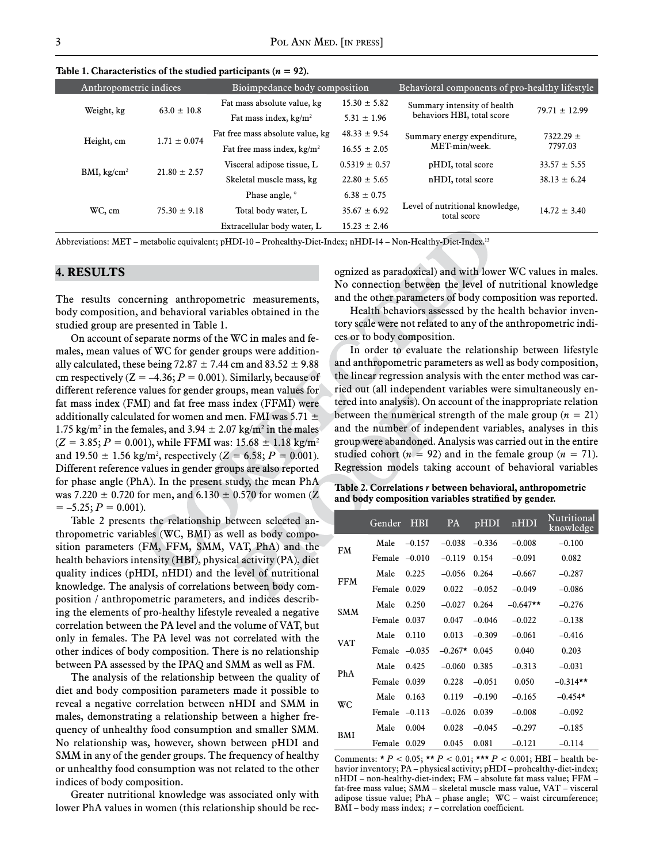Table 1. Characteristics of the studied participants  $(n = 92)$ .

| Anthropometric indices  |                  | Bioimpedance body composition    |                   | Behavioral components of pro-healthy lifestyle |                          |  |
|-------------------------|------------------|----------------------------------|-------------------|------------------------------------------------|--------------------------|--|
| Weight, kg              | $63.0 \pm 10.8$  | Fat mass absolute value, kg      | $15.30 \pm 5.82$  | Summary intensity of health                    | $79.71 \pm 12.99$        |  |
|                         |                  | Fat mass index, $kg/m2$          | $5.31 \pm 1.96$   | behaviors HBI, total score                     |                          |  |
| Height, cm              | $1.71 \pm 0.074$ | Fat free mass absolute value, kg | $48.33 \pm 9.54$  | Summary energy expenditure,                    | $7322.29 \pm$<br>7797.03 |  |
|                         |                  | Fat free mass index, $kg/m2$     | $16.55 \pm 2.05$  | MET-min/week.                                  |                          |  |
| BMI, kg/cm <sup>2</sup> | $21.80 \pm 2.57$ | Visceral adipose tissue, L       | $0.5319 \pm 0.57$ | pHDI, total score                              | $33.57 \pm 5.55$         |  |
|                         |                  | Skeletal muscle mass, kg         | $22.80 \pm 5.65$  | nHDI, total score                              | $38.13 \pm 6.24$         |  |
| WC, cm                  | $75.30 \pm 9.18$ | Phase angle, °                   | $6.38 \pm 0.75$   |                                                |                          |  |
|                         |                  | Total body water, L              | $35.67 \pm 6.92$  | Level of nutritional knowledge,<br>total score | $14.72 \pm 3.40$         |  |
|                         |                  | Extracellular body water, L      | $15.23 \pm 2.46$  |                                                |                          |  |

Abbreviations: MET – metabolic equivalent; pHDI-10 – Prohealthy-Diet-Index; nHDI-14 – Non-Healthy-Diet-Index.13

### **4. RESULTS**

The results concerning anthropometric measurements, body composition, and behavioral variables obtained in the studied group are presented in Table 1.

On account of separate norms of the WC in males and females, mean values of WC for gender groups were additionally calculated, these being 72.87  $\pm$  7.44 cm and 83.52  $\pm$  9.88 cm respectively  $(Z = -4.36; P = 0.001)$ . Similarly, because of different reference values for gender groups, mean values for fat mass index (FMI) and fat free mass index (FFMI) were additionally calculated for women and men. FMI was 5.71  $\pm$ 1.75 kg/m<sup>2</sup> in the females, and  $3.94 \pm 2.07$  kg/m<sup>2</sup> in the males  $(Z = 3.85; P = 0.001)$ , while FFMI was:  $15.68 \pm 1.18$  kg/m<sup>2</sup> and  $19.50 \pm 1.56$  kg/m<sup>2</sup>, respectively ( $Z = 6.58$ ;  $P = 0.001$ ). Different reference values in gender groups are also reported for phase angle (PhA). In the present study, the mean PhA was 7.220  $\pm$  0.720 for men, and 6.130  $\pm$  0.570 for women (Z  $= -5.25; P = 0.001$ .

Table 2 presents the relationship between selected anthropometric variables (WC, BMI) as well as body composition parameters (FM, FFM, SMM, VAT, PhA) and the health behaviors intensity (HBI), physical activity (PA), diet quality indices (pHDI, nHDI) and the level of nutritional knowledge. The analysis of correlations between body composition / anthropometric parameters, and indices describing the elements of pro-healthy lifestyle revealed a negative correlation between the PA level and the volume of VAT, but only in females. The PA level was not correlated with the other indices of body composition. There is no relationship between PA assessed by the IPAQ and SMM as well as FM.

The analysis of the relationship between the quality of diet and body composition parameters made it possible to reveal a negative correlation between nHDI and SMM in males, demonstrating a relationship between a higher frequency of unhealthy food consumption and smaller SMM. No relationship was, however, shown between pHDI and SMM in any of the gender groups. The frequency of healthy or unhealthy food consumption was not related to the other indices of body composition.

Greater nutritional knowledge was associated only with lower PhA values in women (this relationship should be recognized as paradoxical) and with lower WC values in males. No connection between the level of nutritional knowledge and the other parameters of body composition was reported.

Health behaviors assessed by the health behavior inventory scale were not related to any of the anthropometric indices or to body composition.

In order to evaluate the relationship between lifestyle and anthropometric parameters as well as body composition, the linear regression analysis with the enter method was carried out (all independent variables were simultaneously entered into analysis). On account of the inappropriate relation between the numerical strength of the male group  $(n = 21)$ and the number of independent variables, analyses in this group were abandoned. Analysis was carried out in the entire studied cohort  $(n = 92)$  and in the female group  $(n = 71)$ . Regression models taking account of behavioral variables

**Table 2. Correlations** *r* **between behavioral, anthropometric and body composition variables stratified by gender.** 

|            | Gender | <b>HBI</b> | <b>PA</b> | pHDI     | nHDI       | Nutritional<br>knowledge |
|------------|--------|------------|-----------|----------|------------|--------------------------|
| <b>FM</b>  | Male   | $-0.157$   | $-0.038$  | $-0.336$ | $-0.008$   | $-0.100$                 |
|            | Female | $-0.010$   | $-0.119$  | 0.154    | $-0.091$   | 0.082                    |
| <b>FFM</b> | Male   | 0.225      | $-0.056$  | 0.264    | $-0.667$   | $-0.287$                 |
|            | Female | 0.029      | 0.022     | $-0.052$ | $-0.049$   | $-0.086$                 |
| <b>SMM</b> | Male   | 0.250      | $-0.027$  | 0.264    | $-0.647**$ | $-0.276$                 |
|            | Female | 0.037      | 0.047     | $-0.046$ | $-0.022$   | $-0.138$                 |
| VAT        | Male   | 0.110      | 0.013     | $-0.309$ | $-0.061$   | $-0.416$                 |
|            | Female | $-0.035$   | $-0.267*$ | 0.045    | 0.040      | 0.203                    |
| PhA        | Male   | 0.425      | $-0.060$  | 0.385    | $-0.313$   | $-0.031$                 |
|            | Female | 0.039      | 0.228     | $-0.051$ | 0.050      | $-0.314**$               |
| WС         | Male   | 0.163      | 0.119     | $-0.190$ | $-0.165$   | $-0.454*$                |
|            | Female | $-0.113$   | $-0.026$  | 0.039    | $-0.008$   | $-0.092$                 |
| BMI        | Male   | 0.004      | 0.028     | $-0.045$ | $-0.297$   | $-0.185$                 |
|            | Female | 0.029      | 0.045     | 0.081    | $-0.121$   | $-0.114$                 |

Comments:  $* P < 0.05$ ;  $** P < 0.01$ ;  $*** P < 0.001$ ; HBI – health behavior inventory; PA – physical activity; pHDI – prohealthy-diet-index; nHDI – non-healthy-diet-index; FM – absolute fat mass value; FFM – fat-free mass value; SMM – skeletal muscle mass value, VAT – visceral adipose tissue value; PhA – phase angle; WC – waist circumference; BMI – body mass index;  $r$  – correlation coefficient.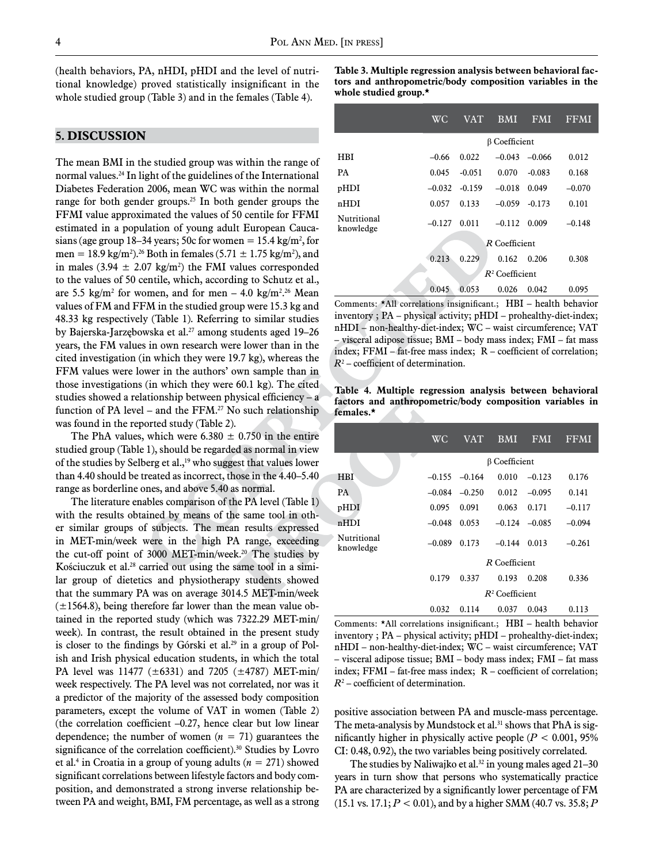(health behaviors, PA, nHDI, pHDI and the level of nutritional knowledge) proved statistically insignificant in the whole studied group (Table 3) and in the females (Table 4).

## **5. DISCUSSION**

The mean BMI in the studied group was within the range of normal values.24 In light of the guidelines of the International Diabetes Federation 2006, mean WC was within the normal range for both gender groups.<sup>25</sup> In both gender groups the FFMI value approximated the values of 50 centile for FFMI estimated in a population of young adult European Caucasians (age group 18–34 years; 50c for women  $= 15.4 \text{ kg/m}^2$ , for men = 18.9 kg/m<sup>2</sup>).<sup>26</sup> Both in females (5.71  $\pm$  1.75 kg/m<sup>2</sup>), and in males  $(3.94 \pm 2.07 \text{ kg/m}^2)$  the FMI values corresponded to the values of 50 centile, which, according to Schutz et al., are 5.5 kg/m<sup>2</sup> for women, and for men – 4.0 kg/m<sup>2</sup>.<sup>26</sup> Mean values of FM and FFM in the studied group were 15.3 kg and 48.33 kg respectively (Table 1). Referring to similar studies by Bajerska-Jarzębowska et al.<sup>27</sup> among students aged 19–26 years, the FM values in own research were lower than in the cited investigation (in which they were 19.7 kg), whereas the FFM values were lower in the authors' own sample than in those investigations (in which they were 60.1 kg). The cited studies showed a relationship between physical efficiency – a function of PA level – and the  $FFM<sup>27</sup>$  No such relationship was found in the reported study (Table 2).

The PhA values, which were 6.380  $\pm$  0.750 in the entire studied group (Table 1), should be regarded as normal in view of the studies by Selberg et al.,<sup>19</sup> who suggest that values lower than 4.40 should be treated as incorrect, those in the 4.40–5.40 range as borderline ones, and above 5.40 as normal.

The literature enables comparison of the PA level (Table 1) with the results obtained by means of the same tool in other similar groups of subjects. The mean results expressed in MET-min/week were in the high PA range, exceeding the cut-off point of 3000 MET-min/week.<sup>20</sup> The studies by Kościuczuk et al.<sup>28</sup> carried out using the same tool in a similar group of dietetics and physiotherapy students showed that the summary PA was on average 3014.5 MET-min/week  $(\pm 1564.8)$ , being therefore far lower than the mean value obtained in the reported study (which was 7322.29 MET-min/ week). In contrast, the result obtained in the present study is closer to the findings by Górski et al.<sup>29</sup> in a group of Polish and Irish physical education students, in which the total PA level was 11477 (±6331) and 7205 (±4787) MET-min/ week respectively. The PA level was not correlated, nor was it a predictor of the majority of the assessed body composition parameters, except the volume of VAT in women (Table 2) (the correlation coefficient  $-0.27$ , hence clear but low linear dependence; the number of women  $(n = 71)$  guarantees the significance of the correlation coefficient).<sup>30</sup> Studies by Lovro et al.<sup>4</sup> in Croatia in a group of young adults  $(n = 271)$  showed significant correlations between lifestyle factors and body composition, and demonstrated a strong inverse relationship between PA and weight, BMI, FM percentage, as well as a strong

**Table 3. Multiple regression analysis between behavioral factors and anthropometric/body composition variables in the whole studied group.\*** 

|                          | <b>WC</b>         | <b>VAT</b>           | <b>BMI</b> | <b>FMI</b> | FFMI     |  |  |
|--------------------------|-------------------|----------------------|------------|------------|----------|--|--|
|                          |                   | <b>B</b> Coefficient |            |            |          |  |  |
| HBI                      | $-0.66$           | 0.022                | $-0.043$   | $-0.066$   | 0.012    |  |  |
| <b>PA</b>                | 0.045             | $-0.051$             | 0.070      | $-0.083$   | 0.168    |  |  |
| pHDI                     | $-0.032$          | $-0.159$             | $-0.018$   | 0.049      | $-0.070$ |  |  |
| nHDI                     | 0.057             | 0.133                | $-0.059$   | $-0.173$   | 0.101    |  |  |
| Nutritional<br>knowledge | $-0.127$          | 0.011                | $-0.112$   | 0.009      | $-0.148$ |  |  |
|                          | R Coefficient     |                      |            |            |          |  |  |
|                          | 0.213             | 0.229                | 0.162      | 0.206      | 0.308    |  |  |
|                          | $R^2$ Coefficient |                      |            |            |          |  |  |
|                          | 0.045             | 0.053                | 0.026      | 0.042      | 0.095    |  |  |

Comments: \*All correlations insignificant.; HBI – health behavior inventory ; PA – physical activity; pHDI – prohealthy-diet-index; nHDI – non-healthy-diet-index; WC – waist circumference; VAT – visceral adipose tissue; BMI – body mass index; FMI – fat mass index; FFMI – fat-free mass index; R – coefficient of correlation; *R*<sup>2</sup> – coefficient of determination.

**Table 4. Multiple regression analysis between behavioral factors and anthropometric/body composition variables in females.\***

|                          | <b>WC</b>            | <b>VAT</b>      | <b>BMI</b> | <b>FMI</b> | FFMI     |  |
|--------------------------|----------------------|-----------------|------------|------------|----------|--|
|                          | <b>B</b> Coefficient |                 |            |            |          |  |
| <b>HBI</b>               |                      | $-0.155 -0.164$ | 0.010      | $-0.123$   | 0.176    |  |
| PA                       | $-0.084$             | $-0.250$        | 0.012      | $-0.095$   | 0.141    |  |
| pHDI                     | 0.095                | 0.091           | 0.063      | 0.171      | $-0.117$ |  |
| nHDI                     | $-0.048$             | 0.053           | $-0.124$   | $-0.085$   | $-0.094$ |  |
| Nutritional<br>knowledge | $-0.089$             | 0.173           | $-0.144$   | 0.013      | $-0.261$ |  |
|                          | R Coefficient        |                 |            |            |          |  |
|                          | 0.179                | 0.337           | 0.193      | 0.208      | 0.336    |  |
|                          | $R^2$ Coefficient    |                 |            |            |          |  |
|                          | 0.032                | 0.114           | 0.037      | 0.043      | 0.113    |  |

Comments: \*All correlations insignificant.; HBI – health behavior inventory ; PA – physical activity; pHDI – prohealthy-diet-index; nHDI – non-healthy-diet-index; WC – waist circumference; VAT – visceral adipose tissue; BMI – body mass index; FMI – fat mass index; FFMI – fat-free mass index; R – coefficient of correlation; *R*<sup>2</sup> – coefficient of determination.

positive association between PA and muscle-mass percentage. The meta-analysis by Mundstock et al.<sup>31</sup> shows that PhA is significantly higher in physically active people  $(P < 0.001, 95\%)$ CI: 0.48, 0.92), the two variables being positively correlated.

The studies by Naliwajko et al. $32$  in young males aged 21-30 years in turn show that persons who systematically practice PA are characterized by a significantly lower percentage of FM (15.1 vs. 17.1; *P* < 0.01), and by a higher SMM (40.7 vs. 35.8; *P*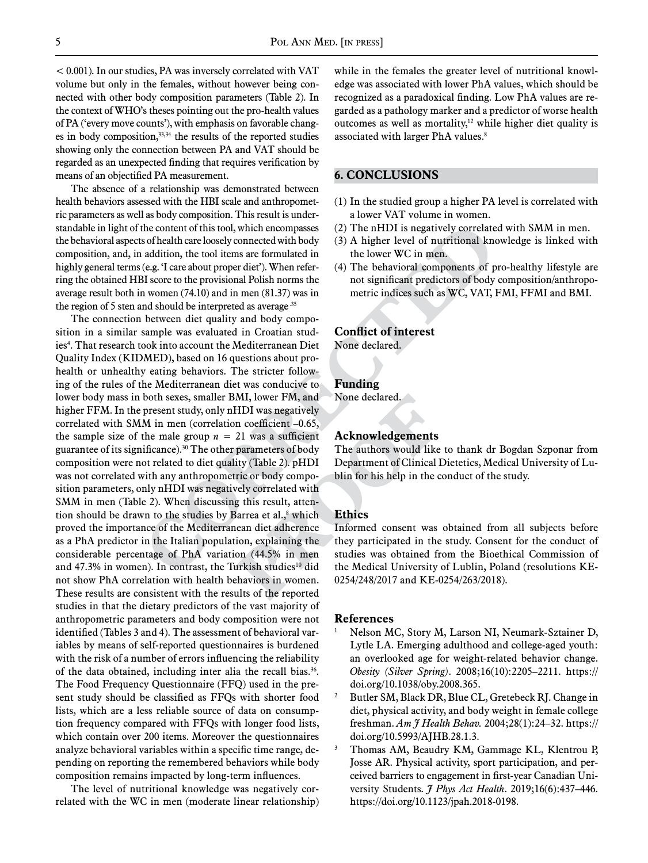< 0.001). In our studies, PA was inversely correlated with VAT volume but only in the females, without however being connected with other body composition parameters (Table 2). In the context of WHO's theses pointing out the pro-health values of PA ('every move counts'), with emphasis on favorable changes in body composition,33,34 the results of the reported studies showing only the connection between PA and VAT should be regarded as an unexpected finding that requires verification by means of an objectified PA measurement.

The absence of a relationship was demonstrated between health behaviors assessed with the HBI scale and anthropometric parameters as well as body composition. This result is understandable in light of the content of this tool, which encompasses the behavioral aspects of health care loosely connected with body composition, and, in addition, the tool items are formulated in highly general terms (e.g. 'I care about proper diet'). When referring the obtained HBI score to the provisional Polish norms the average result both in women (74.10) and in men (81.37) was in the region of 5 sten and should be interpreted as average.<sup>35</sup>

The connection between diet quality and body composition in a similar sample was evaluated in Croatian studies<sup>4</sup>. That research took into account the Mediterranean Diet Quality Index (KIDMED), based on 16 questions about prohealth or unhealthy eating behaviors. The stricter following of the rules of the Mediterranean diet was conducive to lower body mass in both sexes, smaller BMI, lower FM, and higher FFM. In the present study, only nHDI was negatively correlated with SMM in men (correlation coefficient –0.65, the sample size of the male group  $n = 21$  was a sufficient guarantee of its significance).<sup>30</sup> The other parameters of body composition were not related to diet quality (Table 2). pHDI was not correlated with any anthropometric or body composition parameters, only nHDI was negatively correlated with SMM in men (Table 2). When discussing this result, attention should be drawn to the studies by Barrea et al., $\delta$  which proved the importance of the Mediterranean diet adherence as a PhA predictor in the Italian population, explaining the considerable percentage of PhA variation (44.5% in men and  $47.3\%$  in women). In contrast, the Turkish studies<sup>10</sup> did not show PhA correlation with health behaviors in women. These results are consistent with the results of the reported studies in that the dietary predictors of the vast majority of anthropometric parameters and body composition were not identified (Tables 3 and 4). The assessment of behavioral variables by means of self-reported questionnaires is burdened with the risk of a number of errors influencing the reliability of the data obtained, including inter alia the recall bias.<sup>36</sup>. The Food Frequency Questionnaire (FFQ) used in the present study should be classified as FFQs with shorter food lists, which are a less reliable source of data on consumption frequency compared with FFQs with longer food lists, which contain over 200 items. Moreover the questionnaires analyze behavioral variables within a specific time range, depending on reporting the remembered behaviors while body composition remains impacted by long-term influences.

The level of nutritional knowledge was negatively correlated with the WC in men (moderate linear relationship) while in the females the greater level of nutritional knowledge was associated with lower PhA values, which should be recognized as a paradoxical finding. Low PhA values are regarded as a pathology marker and a predictor of worse health outcomes as well as mortality, $12$  while higher diet quality is associated with larger PhA values.8

## **6. CONCLUSIONS**

- (1) In the studied group a higher PA level is correlated with a lower VAT volume in women.
- (2) The nHDI is negatively correlated with SMM in men.
- (3) A higher level of nutritional knowledge is linked with the lower WC in men.
- (4) The behavioral components of pro-healthy lifestyle are not significant predictors of body composition/anthropometric indices such as WC, VAT, FMI, FFMI and BMI.

## **Conflict of interest**

None declared.

#### **Funding**

None declared.

#### **Acknowledgements**

The authors would like to thank dr Bogdan Szponar from Department of Clinical Dietetics, Medical University of Lublin for his help in the conduct of the study.

#### **Ethics**

Informed consent was obtained from all subjects before they participated in the study. Consent for the conduct of studies was obtained from the Bioethical Commission of the Medical University of Lublin, Poland (resolutions KE-0254/248/2017 and KE-0254/263/2018).

#### **References**

- <sup>1</sup> Nelson MC, Story M, Larson NI, Neumark-Sztainer D, Lytle LA. Emerging adulthood and college-aged youth: an overlooked age for weight-related behavior change. *Obesity (Silver Spring)*. 2008;16(10):2205–2211. https:// doi.org/10.1038/oby.2008.365.
- <sup>2</sup> Butler SM, Black DR, Blue CL, Gretebeck RJ. Change in diet, physical activity, and body weight in female college freshman. *Am J Health Behav.* 2004;28(1):24–32. https:// doi.org/10.5993/AJHB.28.1.3.
- Thomas AM, Beaudry KM, Gammage KL, Klentrou P, Josse AR. Physical activity, sport participation, and perceived barriers to engagement in first-year Canadian University Students. *J Phys Act Health*. 2019;16(6):437–446. https://doi.org/10.1123/jpah.2018-0198.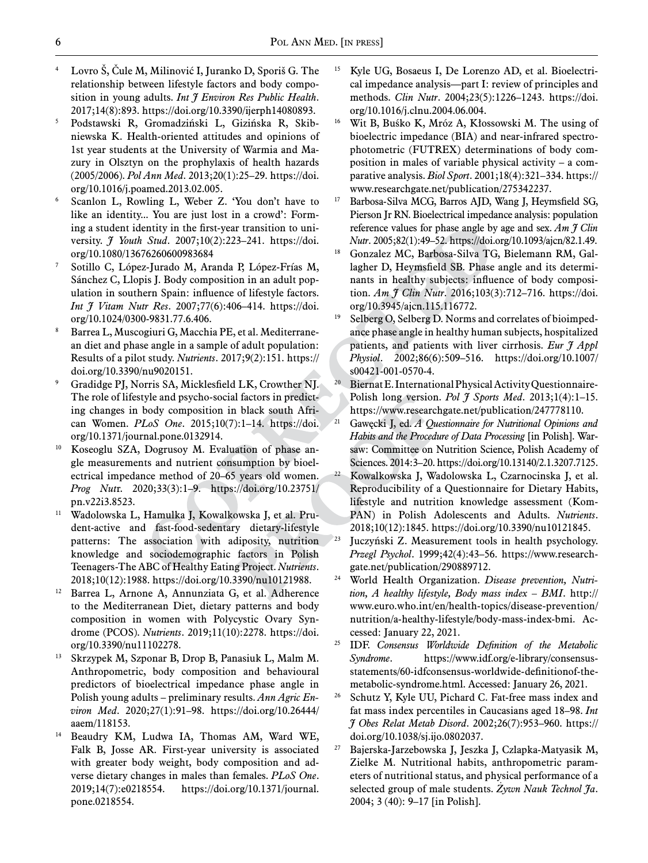- <sup>4</sup> Lovro Š, Čule M, Milinović I, Juranko D, Sporiš G. The relationship between lifestyle factors and body composition in young adults. *Int J Environ Res Public Health*. 2017;14(8):893. https://doi.org/10.3390/ijerph14080893.
- <sup>5</sup> Podstawski R, Gromadziński L, Gizińska R, Skibniewska K. Health-oriented attitudes and opinions of 1st year students at the University of Warmia and Mazury in Olsztyn on the prophylaxis of health hazards (2005/2006). *Pol Ann Med*. 2013;20(1):25–29. https://doi. org/10.1016/j.poamed.2013.02.005.
- <sup>6</sup> Scanlon L, Rowling L, Weber Z. 'You don't have to like an identity... You are just lost in a crowd': Forming a student identity in the first-year transition to university. *J Youth Stud*. 2007;10(2):223–241. https://doi. org/10.1080/13676260600983684
- Sotillo C, López-Jurado M, Aranda P, López-Frías M, Sánchez C, Llopis J. Body composition in an adult population in southern Spain: influence of lifestyle factors. *Int J Vitam Nutr Res*. 2007;77(6):406–414. https://doi. org/10.1024/0300-9831.77.6.406.
- Barrea L, Muscogiuri G, Macchia PE, et al. Mediterranean diet and phase angle in a sample of adult population: Results of a pilot study. *Nutrients*. 2017;9(2):151. https:// doi.org/10.3390/nu9020151.
- <sup>9</sup> Gradidge PJ, Norris SA, Micklesfield LK, Crowther NJ. The role of lifestyle and psycho-social factors in predicting changes in body composition in black south African Women. *PLoS One*. 2015;10(7):1–14. https://doi. org/10.1371/journal.pone.0132914.
- Koseoglu SZA, Dogrusoy M. Evaluation of phase angle measurements and nutrient consumption by bioelectrical impedance method of 20–65 years old women. *Prog Nut*r. 2020;33(3):1–9. https://doi.org/10.23751/ pn.v22i3.8523.
- <sup>11</sup> Wadolowska L, Hamulka J, Kowalkowska J, et al. Prudent-active and fast-food-sedentary dietary-lifestyle patterns: The association with adiposity, nutrition knowledge and sociodemographic factors in Polish Teenagers-The ABC of Healthy Eating Project. *Nutrients*. 2018;10(12):1988. https://doi.org/10.3390/nu10121988.
- <sup>12</sup> Barrea L, Arnone A, Annunziata G, et al. Adherence to the Mediterranean Diet, dietary patterns and body composition in women with Polycystic Ovary Syndrome (PCOS). *Nutrients*. 2019;11(10):2278. https://doi. org/10.3390/nu11102278.
- <sup>13</sup> Skrzypek M, Szponar B, Drop B, Panasiuk L, Malm M. Anthropometric, body composition and behavioural predictors of bioelectrical impedance phase angle in Polish young adults – preliminary results. *Ann Agric Environ Med*. 2020;27(1):91–98. https://doi.org/10.26444/ aaem/118153.
- Beaudry KM, Ludwa IA, Thomas AM, Ward WE, Falk B, Josse AR. First-year university is associated with greater body weight, body composition and adverse dietary changes in males than females. *PLoS One*. 2019;14(7):e0218554. https://doi.org/10.1371/journal. pone.0218554.
- <sup>15</sup> Kyle UG, Bosaeus I, De Lorenzo AD, et al. Bioelectrical impedance analysis—part I: review of principles and methods. *Clin Nutr*. 2004;23(5):1226–1243. https://doi. org/10.1016/j.clnu.2004.06.004.
- <sup>16</sup> Wit B, Buśko K, Mróz A, Kłossowski M. The using of bioelectric impedance (BIA) and near-infrared spectrophotometric (FUTREX) determinations of body composition in males of variable physical activity – a comparative analysis. *Biol Sport*. 2001;18(4):321–334. https:// www.researchgate.net/publication/275342237.
- <sup>17</sup> Barbosa-Silva MCG, Barros AJD, Wang J, Heymsfield SG, Pierson Jr RN. Bioelectrical impedance analysis: population reference values for phase angle by age and sex. *Am J Clin*
- *Nutr*. 2005;82(1):49–52. https://doi.org/10.1093/ajcn/82.1.49. 18 Gonzalez MC, Barbosa-Silva TG, Bielemann RM, Gallagher D, Heymsfield SB. Phase angle and its determinants in healthy subjects: influence of body composition. *Am J Clin Nutr*. 2016;103(3):712–716. https://doi. org/10.3945/ajcn.115.116772.
- <sup>19</sup> Selberg O, Selberg D. Norms and correlates of bioimpedance phase angle in healthy human subjects, hospitalized patients, and patients with liver cirrhosis. *Eur J Appl Physiol*. 2002;86(6):509–516. https://doi.org/10.1007/ s00421-001-0570-4.
- Biernat E. International Physical Activity Questionnaire-Polish long version. *Pol J Sports Med*. 2013;1(4):1–15. https://www.researchgate.net/publication/247778110.
- <sup>21</sup> Gawęcki J, ed. *A Questionnaire for Nutritional Opinions and Habits and the Procedure of Data Processing* [in Polish]. Warsaw: Committee on Nutrition Science, Polish Academy of Sciences. 2014:3–20. https://doi.org/10.13140/2.1.3207.7125.
- <sup>22</sup> Kowalkowska J, Wadolowska L, Czarnocinska J, et al. Reproducibility of a Questionnaire for Dietary Habits, lifestyle and nutrition knowledge assessment (Kom-PAN) in Polish Adolescents and Adults. *Nutrients*. 2018;10(12):1845. https://doi.org/10.3390/nu10121845.
- <sup>23</sup> Juczyński Z. Measurement tools in health psychology. *Przegl Psychol*. 1999;42(4):43–56. https://www.researchgate.net/publication/290889712.
- <sup>24</sup> World Health Organization. *Disease prevention, Nutrition, A healthy lifestyle, Body mass index – BMI*. http:// www.euro.who.int/en/health-topics/disease-prevention/ nutrition/a-healthy-lifestyle/body-mass-index-bmi. Accessed: January 22, 2021.
- <sup>25</sup> IDF. *Consensus Worldwide Definition of the Metabolic Syndrome*. https://www.idf.org/e-library/consensusstatements/60-idfconsensus-worldwide-definitionof-themetabolic-syndrome.html. Accessed: January 26, 2021.
- <sup>26</sup> Schutz Y, Kyle UU, Pichard C. Fat-free mass index and fat mass index percentiles in Caucasians aged 18–98. *Int J Obes Relat Metab Disord*. 2002;26(7):953–960. https:// doi.org/10.1038/sj.ijo.0802037.
- <sup>27</sup> Bajerska-Jarzebowska J, Jeszka J, Czlapka-Matyasik M, Zielke M. Nutritional habits, anthropometric parameters of nutritional status, and physical performance of a selected group of male students. *Żywn Nauk Technol Ja*. 2004; 3 (40): 9–17 [in Polish].